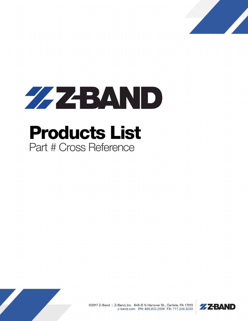



## Products List Part # Cross Reference



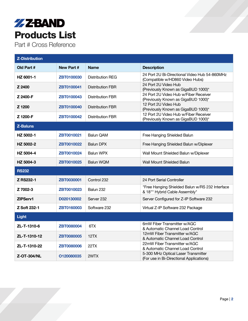## **ZZBAND** Products List

Part # Cross Reference

| <b>Z-Distribution</b> |                   |                         |                                                                                  |  |  |
|-----------------------|-------------------|-------------------------|----------------------------------------------------------------------------------|--|--|
| Old Part #            | New Part #        | <b>Name</b>             | <b>Description</b>                                                               |  |  |
| HZ 6001-1             | ZBT0100030        | <b>Distribution REG</b> | 24 Port 2U Bi-Directional Video Hub 54-860MHz<br>(Compatible w/HD860 Video Hubs) |  |  |
| Z 2400                | ZBT0100041        | <b>Distribution FBR</b> | 24 Port 2U Video Hub<br>(Previously Known as GigaBUD 1000)*                      |  |  |
| Z 2400-F              | <b>ZBT0100043</b> | <b>Distribution FBR</b> | 24 Port 2U Video Hub w/Fiber Receiver<br>(Previously Known as GigaBUD 1000)*     |  |  |
| Z 1200                | ZBT0100040        | <b>Distribution FBR</b> | 12 Port 2U Video Hub<br>(Previously Known as GigaBUD 1000)*                      |  |  |
| Z 1200-F              | ZBT0100042        | <b>Distribution FBR</b> | 12 Port 2U Video Hub w/Fiber Receiver<br>(Previously Known as GigaBUD 1000)*     |  |  |
| <b>Z-Baluns</b>       |                   |                         |                                                                                  |  |  |
| HZ 5002-1             | ZBT0010021        | <b>Balun QAM</b>        | Free Hanging Shielded Balun                                                      |  |  |
| HZ 5002-2             | ZBT0010022        | <b>Balun DPX</b>        | Free Hanging Shielded Balun w/Diplexer                                           |  |  |
| HZ 5004-4             | <b>ZBT0010024</b> | <b>Balun WPX</b>        | Wall Mount Shielded Balun w/Diplexer                                             |  |  |
| HZ 5004-3             | ZBT0010025        | <b>Balun WQM</b>        | Wall Mount Shielded Balun                                                        |  |  |
| <b>RS232</b>          |                   |                         |                                                                                  |  |  |
| Z RS232-1             | ZBT0030001        | Control 232             | 24 Port Serial Controller                                                        |  |  |
| Z 7002-3              | <b>ZBT0010023</b> | Balun 232               | "Free Hanging Shielded Balun w/RS 232 Interface<br>& 18"" Hybrid Cable Assembly" |  |  |
| ZIPServ1              | D020130002        | Server 232              | Server Configured for Z-IP Software 232                                          |  |  |
| Z Soft 232-1          | <b>ZBT0160003</b> | Software 232            | Virtual Z-IP Software 232 Package                                                |  |  |
| <b>Light</b>          |                   |                         |                                                                                  |  |  |
| ZL-T-1310-6           | <b>ZBT0080004</b> | 6TX                     | 6mW Fiber Transmitter w/AGC<br>& Automatic Channel Load Control                  |  |  |
| ZL-T-1310-12          | <b>ZBT0080005</b> | 12TX                    | 12mW Fiber Transmitter w/AGC<br>& Automatic Channel Load Control                 |  |  |
| ZL-T-1310-22          | <b>ZBT0080006</b> | <b>22TX</b>             | 22mW Fiber Transmitter w/AGC<br>& Automatic Channel Load Control                 |  |  |
| <b>Z-OT-304/NL</b>    | O120080035        | 2WTX                    | 5-300 MHz Optical Laser Transmitter<br>(For use in Bi-Directional Applications)  |  |  |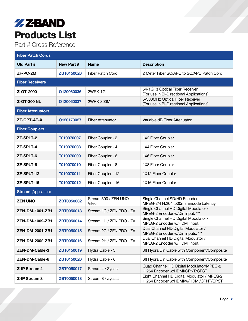## **ZZBAND** Products List

Part # Cross Reference

| <b>Fiber Patch Cords</b>  |                   |                                 |                                                                                      |  |  |
|---------------------------|-------------------|---------------------------------|--------------------------------------------------------------------------------------|--|--|
| Old Part #                | New Part #        | <b>Name</b>                     | <b>Description</b>                                                                   |  |  |
| <b>ZF-PC-2M</b>           | <b>ZBT0150026</b> | Fiber Patch Cord                | 2 Meter Fiber SC/APC to SC/APC Patch Cord                                            |  |  |
| <b>Fiber Receivers</b>    |                   |                                 |                                                                                      |  |  |
| Z-OT-2000                 | O120060036        | 2WRX-1G                         | 54-1GHz Optical Fiber Receiver<br>(For use in Bi-Directional Applications)           |  |  |
| <b>Z-OT-300 NL</b>        | O120060037        | 2WRX-300M                       | 5-300MHz Optical Fiber Receiver<br>(For use in Bi-Directional Applications)          |  |  |
| <b>Fiber Attenuators</b>  |                   |                                 |                                                                                      |  |  |
| <b>ZF-OPT-AT-X</b>        | O120170027        | <b>Fiber Attenuator</b>         | Variable dB Fiber Attenuator                                                         |  |  |
| <b>Fiber Couplers</b>     |                   |                                 |                                                                                      |  |  |
| <b>ZF-SPLT-2</b>          | T010070007        | Fiber Coupler - 2               | 1X2 Fiber Coupler                                                                    |  |  |
| ZF-SPLT-4                 | T010070008        | Fiber Coupler - 4               | 1X4 Fiber Coupler                                                                    |  |  |
| <b>ZF-SPLT-6</b>          | T010070009        | Fiber Coupler - 6               | 1X6 Fiber Coupler                                                                    |  |  |
| <b>ZF-SPLT-8</b>          | T010070010        | Fiber Coupler - 8               | 1X8 Fiber Coupler                                                                    |  |  |
| ZF-SPLT-12                | T010070011        | Fiber Coupler - 12              | 1X12 Fiber Coupler                                                                   |  |  |
| ZF-SPLT-16                | T010070012        | Fiber Coupler - 16              | 1X16 Fiber Coupler                                                                   |  |  |
| <b>Stream</b> (Appliance) |                   |                                 |                                                                                      |  |  |
| <b>ZEN UNO</b>            | <b>ZBT0050032</b> | Stream 300 / ZEN UNO -<br>Vitec | Single Channel SD/HD Encoder<br>MPEG-2/4 H.264 .500ms Encode Latency                 |  |  |
| <b>ZEN-DM-1001-ZB1</b>    | <b>ZBT0050013</b> | Stream 1C / ZEN PRO - ZV        | Single Channel HD Digital Modulator /<br>MPEG-2 Encoder w/Din input. ***             |  |  |
| ZEN-DM-1002-ZB1           | ZBT0050014        | Stream 1H / ZEN PRO - ZV        | Single Channel HD Digital Modulator /<br>MPEG-2 Encoder w/HDMI input.                |  |  |
| <b>ZEN-DM-2001-ZB1</b>    | ZBT0050015        | Stream 2C / ZEN PRO - ZV        | Dual Channel HD Digital Modulator /<br>MPEG-2 Encoder w/Din inputs. ***              |  |  |
| ZEN-DM-2002-ZB1           | ZBT0050016        | Stream 2H / ZEN PRO - ZV        | Dual Channel HD Digital Modulator /<br>MPEG-2 Encoder w/HDMI input.                  |  |  |
| <b>ZEN-DM-Cable-3</b>     | ZBT0150019        | Hydra Cable - 3                 | 3ft Hydra Din Cable with Component/Composite                                         |  |  |
| <b>ZEN-DM-Cable-6</b>     | ZBT0150020        | Hydra Cable - 6                 | 6ft Hydra Din Cable with Component/Composite                                         |  |  |
| Z-IP Stream 4             | ZBT0050017        | Stream 4 / Zycast               | Quad Channel HD Digital Modulator/MPEG-2<br>H.264 Encoder w/HDMI/CPNT/CPST           |  |  |
| Z-IP Stream 8             | ZBT0050018        | Stream 8 / Zycast               | Eight Channel HD Digital Modulator / MPEG-2<br>H.264 Encoder w/HDMI/w/HDMI/CPNT/CPST |  |  |